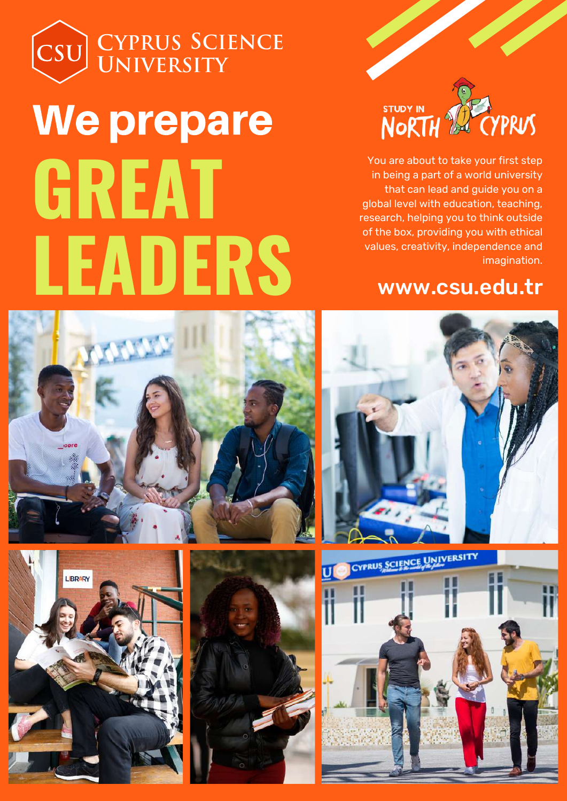

You are about to take your first step in being a part of a world university that can lead and guide you on a global level with education, teaching, research, helping you to think outside of the box, providing you with ethical values, creativity, independence and imagination.

# www.csu.edu.tr





**LEADERS**

We prepare

**CYPRUS SCIENC** 

**YPRUS CIENCE**

**UNIVERSITY**

**GREAT**